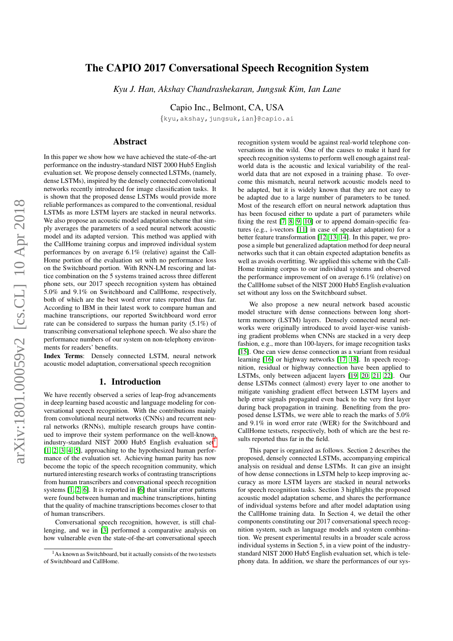# arXiv:1801.00059v2 [cs.CL] 10 Apr 2018 arXiv:1801.00059v2 [cs.CL] 10 Apr 2018

# The CAPIO 2017 Conversational Speech Recognition System

*Kyu J. Han, Akshay Chandrashekaran, Jungsuk Kim, Ian Lane*

Capio Inc., Belmont, CA, USA

{kyu,akshay,jungsuk,ian}@capio.ai

# Abstract

In this paper we show how we have achieved the state-of-the-art performance on the industry-standard NIST 2000 Hub5 English evaluation set. We propose densely connected LSTMs, (namely, dense LSTMs), inspired by the densely connected convolutional networks recently introduced for image classification tasks. It is shown that the proposed dense LSTMs would provide more reliable performances as compared to the conventional, residual LSTMs as more LSTM layers are stacked in neural networks. We also propose an acoustic model adaptation scheme that simply averages the parameters of a seed neural network acoustic model and its adapted version. This method was applied with the CallHome training corpus and improved individual system performances by on average 6.1% (relative) against the Call-Home portion of the evaluation set with no performance loss on the Switchboard portion. With RNN-LM rescoring and lattice combination on the 5 systems trained across three different phone sets, our 2017 speech recognition system has obtained 5.0% and 9.1% on Switchboard and CallHome, respectively, both of which are the best word error rates reported thus far. According to IBM in their latest work to compare human and machine transcriptions, our reported Switchboard word error rate can be considered to surpass the human parity (5.1%) of transcribing conversational telephone speech. We also share the performance numbers of our system on non-telephony environments for readers' benefits.

Index Terms: Densely connected LSTM, neural network acoustic model adaptation, conversational speech recognition

### 1. Introduction

We have recently observed a series of leap-frog advancements in deep learning based acoustic and language modeling for conversational speech recognition. With the contributions mainly from convolutional neural networks (CNNs) and recurrent neural networks (RNNs), multiple research groups have continued to improve their system performance on the well-known, industry-standard NIST 2000 Hub5 English evaluation set<sup>[1](#page-0-0)</sup> [\[1,](#page-5-0) [2,](#page-5-1) [3,](#page-5-2) [4,](#page-5-3) [5\]](#page-5-4), approaching to the hypothesized human performance of the evaluation set. Achieving human parity has now become the topic of the speech recognition community, which nurtured interesting research works of contrasting transcriptions from human transcribers and conversational speech recognition systems [\[1,](#page-5-0) [2,](#page-5-1) [6\]](#page-6-0). It is reported in [\[6\]](#page-6-0) that similar error patterns were found between human and machine transcriptions, hinting that the quality of machine transcriptions becomes closer to that of human transcribers.

Conversational speech recognition, however, is still challenging, and we in [\[3\]](#page-5-2) performed a comparative analysis on how vulnerable even the state-of-the-art conversational speech recognition system would be against real-world telephone conversations in the wild. One of the causes to make it hard for speech recognition systems to perform well enough against realworld data is the acoustic and lexical variability of the realworld data that are not exposed in a training phase. To overcome this mismatch, neural network acoustic models need to be adapted, but it is widely known that they are not easy to be adapted due to a large number of parameters to be tuned. Most of the research effort on neural network adaptation thus has been focused either to update a part of parameters while fixing the rest [\[7,](#page-6-1) [8,](#page-6-2) [9,](#page-6-3) [10\]](#page-6-4) or to append domain-specific features (e.g., i-vectors [\[11\]](#page-6-5) in case of speaker adaptation) for a better feature transformation [\[12,](#page-6-6) [13,](#page-6-7) [14\]](#page-6-8). In this paper, we propose a simple but generalized adaptation method for deep neural networks such that it can obtain expected adaptation benefits as well as avoids overfitting. We applied this scheme with the Call-Home training corpus to our individual systems and observed the performance improvement of on average 6.1% (relative) on the CallHome subset of the NIST 2000 Hub5 English evaluation set without any loss on the Switchboard subset.

We also propose a new neural network based acoustic model structure with dense connections between long shortterm memory (LSTM) layers. Densely connected neural networks were originally introduced to avoid layer-wise vanishing gradient problems when CNNs are stacked in a very deep fashion, e.g., more than 100-layers, for image recognition tasks [\[15\]](#page-6-9). One can view dense connection as a variant from residual learning [\[16\]](#page-6-10) or highway networks [\[17,](#page-6-11) [18\]](#page-6-12). In speech recognition, residual or highway connection have been applied to LSTMs, only between adjacent layers [\[19,](#page-6-13) [20,](#page-6-14) [21,](#page-6-15) [22\]](#page-6-16). Our dense LSTMs connect (almost) every layer to one another to mitigate vanishing gradient effect between LSTM layers and help error signals propagated even back to the very first layer during back propagation in training. Benefiting from the proposed dense LSTMs, we were able to reach the marks of 5.0% and 9.1% in word error rate (WER) for the Switchboard and CallHome testsets, respectively, both of which are the best results reported thus far in the field.

This paper is organized as follows. Section 2 describes the proposed, densely connected LSTMs, accompanying empirical analysis on residual and dense LSTMs. It can give an insight of how dense connections in LSTM help to keep improving accuracy as more LSTM layers are stacked in neural networks for speech recognition tasks. Section 3 highlights the proposed acoustic model adaptation scheme, and shares the performance of individual systems before and after model adaptation using the CallHome training data. In Section 4, we detail the other components constituting our 2017 conversational speech recognition system, such as language models and system combination. We present experimental results in a broader scale across individual systems in Section 5, in a view point of the industrystandard NIST 2000 Hub5 English evaluation set, which is telephony data. In addition, we share the performances of our sys-

<span id="page-0-0"></span><sup>&</sup>lt;sup>1</sup>As known as Switchboard, but it actually consists of the two testsets of Switchboard and CallHome.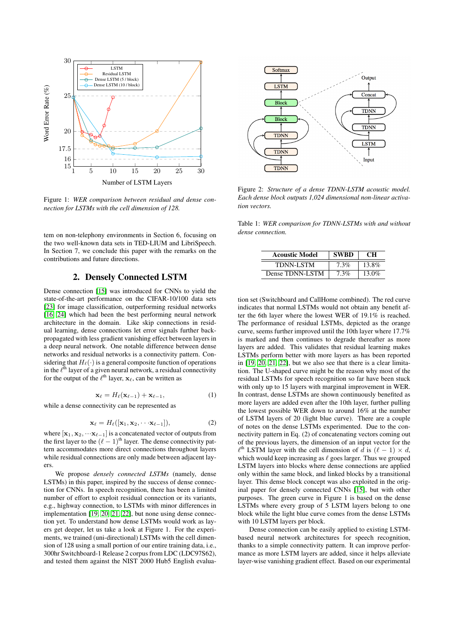

Figure 1: *WER comparison between residual and dense connection for LSTMs with the cell dimension of 128.*

tem on non-telephony environments in Section 6, focusing on the two well-known data sets in TED-LIUM and LibriSpeech. In Section 7, we conclude this paper with the remarks on the contributions and future directions.

### 2. Densely Connected LSTM

Dense connection [\[15\]](#page-6-9) was introduced for CNNs to yield the state-of-the-art performance on the CIFAR-10/100 data sets [\[23\]](#page-6-17) for image classification, outperforming residual networks [\[16,](#page-6-10) [24\]](#page-6-18) which had been the best performing neural network architecture in the domain. Like skip connections in residual learning, dense connections let error signals further backpropagated with less gradient vanishing effect between layers in a deep neural network. One notable difference between dense networks and residual networks is a connectivity pattern. Considering that  $H_{\ell}(\cdot)$  is a general composite function of operations in the  $\ell^{\text{th}}$  layer of a given neural network, a residual connectivity for the output of the  $\ell^{\text{th}}$  layer,  $\mathbf{x}_{\ell}$ , can be written as

$$
\mathbf{x}_{\ell} = H_{\ell}(\mathbf{x}_{\ell-1}) + \mathbf{x}_{\ell-1},\tag{1}
$$

while a dense connectivity can be represented as

$$
\mathbf{x}_{\ell} = H_{\ell}([\mathbf{x}_1, \mathbf{x}_2, \cdots \mathbf{x}_{\ell-1}]),\tag{2}
$$

where  $[x_1, x_2, \cdots x_{\ell-1}]$  is a concatenated vector of outputs from the first layer to the  $(\ell - 1)$ <sup>th</sup> layer. The dense connectivity pattern accommodates more direct connections throughout layers while residual connections are only made between adjacent layers.

We propose *densely connected LSTMs* (namely, dense LSTMs) in this paper, inspired by the success of dense connection for CNNs. In speech recognition, there has been a limited number of effort to exploit residual connection or its variants, e.g., highway connection, to LSTMs with minor differences in implementation [\[19,](#page-6-13) [20,](#page-6-14) [21,](#page-6-15) [22\]](#page-6-16), but none using dense connection yet. To understand how dense LSTMs would work as layers get deeper, let us take a look at Figure 1. For the experiments, we trained (uni-directional) LSTMs with the cell dimension of 128 using a small portion of our entire training data, i.e., 300hr Switchboard-1 Release 2 corpus from LDC (LDC97S62), and tested them against the NIST 2000 Hub5 English evalua-



Figure 2: *Structure of a dense TDNN-LSTM acoustic model. Each dense block outputs 1,024 dimensional non-linear activation vectors.*

Table 1: *WER comparison for TDNN-LSTMs with and without dense connection.*

| <b>Acoustic Model</b> | <b>SWBD</b> | CН    |
|-----------------------|-------------|-------|
| <b>TDNN-LSTM</b>      | 7.3%        | 13.8% |
| Dense TDNN-LSTM       | 7.3%        | 13.0% |

tion set (Switchboard and CallHome combined). The red curve indicates that normal LSTMs would not obtain any benefit after the 6th layer where the lowest WER of 19.1% is reached. The performance of residual LSTMs, depicted as the orange curve, seems further improved until the 10th layer where 17.7% is marked and then continues to degrade thereafter as more layers are added. This validates that residual learning makes LSTMs perform better with more layers as has been reported in [\[19,](#page-6-13) [20,](#page-6-14) [21,](#page-6-15) [22\]](#page-6-16), but we also see that there is a clear limitation. The U-shaped curve might be the reason why most of the residual LSTMs for speech recognition so far have been stuck with only up to 15 layers with marginal improvement in WER. In contrast, dense LSTMs are shown continuously benefited as more layers are added even after the 10th layer, further pulling the lowest possible WER down to around 16% at the number of LSTM layers of 20 (light blue curve). There are a couple of notes on the dense LSTMs experimented. Due to the connectivity pattern in Eq. (2) of concatenating vectors coming out of the previous layers, the dimension of an input vector for the  $\ell^{\text{th}}$  LSTM layer with the cell dimension of  $\bar{d}$  is  $(\ell - 1) \times d$ , which would keep increasing as  $\ell$  goes larger. Thus we grouped LSTM layers into blocks where dense connections are applied only within the same block, and linked blocks by a transitional layer. This dense block concept was also exploited in the original paper for densely connected CNNs [\[15\]](#page-6-9), but with other purposes. The green curve in Figure 1 is based on the dense LSTMs where every group of 5 LSTM layers belong to one block while the light blue curve comes from the dense LSTMs with 10 LSTM layers per block.

Dense connection can be easily applied to existing LSTMbased neural network architectures for speech recognition, thanks to a simple connectivity pattern. It can improve performance as more LSTM layers are added, since it helps alleviate layer-wise vanishing gradient effect. Based on our experimental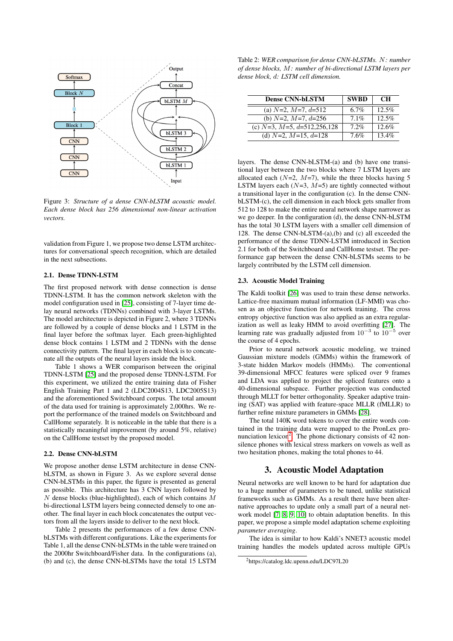

Figure 3: *Structure of a dense CNN-bLSTM acoustic model. Each dense block has 256 dimensional non-linear activation vectors.*

validation from Figure 1, we propose two dense LSTM architectures for conversational speech recognition, which are detailed in the next subsections.

### 2.1. Dense TDNN-LSTM

The first proposed network with dense connection is dense TDNN-LSTM. It has the common network skeleton with the model configuration used in [\[25\]](#page-6-19), consisting of 7-layer time delay neural networks (TDNNs) combined with 3-layer LSTMs. The model architecture is depicted in Figure 2, where 3 TDNNs are followed by a couple of dense blocks and 1 LSTM in the final layer before the softmax layer. Each green-highlighted dense block contains 1 LSTM and 2 TDNNs with the dense connectivity pattern. The final layer in each block is to concatenate all the outputs of the neural layers inside the block.

Table 1 shows a WER comparison between the original TDNN-LSTM [\[25\]](#page-6-19) and the proposed dense TDNN-LSTM. For this experiment, we utilized the entire training data of Fisher English Training Part 1 and 2 (LDC2004S13, LDC2005S13) and the aforementioned Switchboard corpus. The total amount of the data used for training is approximately 2,000hrs. We report the performance of the trained models on Switchboard and CallHome separately. It is noticeable in the table that there is a statistically meaningful improvement (by around 5%, relative) on the CallHome testset by the proposed model.

### 2.2. Dense CNN-bLSTM

We propose another dense LSTM architecture in dense CNNbLSTM, as shown in Figure 3. As we explore several dense CNN-bLSTMs in this paper, the figure is presented as general as possible. This architecture has 3 CNN layers followed by  $N$  dense blocks (blue-highlighted), each of which contains  $M$ bi-directional LSTM layers being connected densely to one another. The final layer in each block concatenates the output vectors from all the layers inside to deliver to the next block.

Table 2 presents the performances of a few dense CNNbLSTMs with different configurations. Like the experiments for Table 1, all the dense CNN-bLSTMs in the table were trained on the 2000hr Switchboard/Fisher data. In the configurations (a), (b) and (c), the dense CNN-bLSTMs have the total 15 LSTM

Table 2: *WER comparison for dense CNN-bLSTMs.* N*: number of dense blocks,* M*: number of bi-directional LSTM layers per dense block,* d*: LSTM cell dimension.*

| <b>Dense CNN-bLSTM</b>              | <b>SWBD</b> | <b>CH</b> |
|-------------------------------------|-------------|-----------|
| (a) $N=2$ , $M=7$ , $d=512$         | $6.7\%$     | 12.5%     |
| (b) $N=2$ , $M=7$ , $d=256$         | $7.1\%$     | 12.5%     |
| (c) $N=3$ , $M=5$ , $d=512,256,128$ | 7.2%        | 12.6%     |
| (d) $N=2$ , $M=15$ , $d=128$        | 7.6%        | $13.4\%$  |

layers. The dense CNN-bLSTM-(a) and (b) have one transitional layer between the two blocks where 7 LSTM layers are allocated each  $(N=2, M=7)$ , while the three blocks having 5 LSTM layers each  $(N=3, M=5)$  are tightly connected without a transitional layer in the configuration (c). In the dense CNNbLSTM-(c), the cell dimension in each block gets smaller from 512 to 128 to make the entire neural network shape narrower as we go deeper. In the configuration (d), the dense CNN-bLSTM has the total 30 LSTM layers with a smaller cell dimension of 128. The dense CNN-bLSTM-(a),(b) and (c) all exceeded the performance of the dense TDNN-LSTM introduced in Section 2.1 for both of the Switchboard and CallHome testset. The performance gap between the dense CNN-bLSTMs seems to be largely contributed by the LSTM cell dimension.

### 2.3. Acoustic Model Training

The Kaldi toolkit [\[26\]](#page-6-20) was used to train these dense networks. Lattice-free maximum mutual information (LF-MMI) was chosen as an objective function for network training. The cross entropy objective function was also applied as an extra regularization as well as leaky HMM to avoid overfitting [\[27\]](#page-6-21). The learning rate was gradually adjusted from  $10^{-3}$  to  $10^{-5}$  over the course of 4 epochs.

Prior to neural network acoustic modeling, we trained Gaussian mixture models (GMMs) within the framework of 3-state hidden Markov models (HMMs). The conventional 39-dimensional MFCC features were spliced over 9 frames and LDA was applied to project the spliced features onto a 40-dimensional subspace. Further projection was conducted through MLLT for better orthogonality. Speaker adaptive training (SAT) was applied with feature-space MLLR (fMLLR) to further refine mixture parameters in GMMs [\[28\]](#page-7-0).

The total 140K word tokens to cover the entire words contained in the training data were mapped to the PronLex pro-nunciation lexicon<sup>[2](#page-2-0)</sup>. The phone dictionary consists of 42 nonsilence phones with lexical stress markers on vowels as well as two hesitation phones, making the total phones to 44.

# 3. Acoustic Model Adaptation

Neural networks are well known to be hard for adaptation due to a huge number of parameters to be tuned, unlike statistical frameworks such as GMMs. As a result there have been alternative approaches to update only a small part of a neural network model [\[7,](#page-6-1) [8,](#page-6-2) [9,](#page-6-3) [10\]](#page-6-4) to obtain adaptation benefits. In this paper, we propose a simple model adaptation scheme exploiting *parameter averaging*.

The idea is similar to how Kaldi's NNET3 acoustic model training handles the models updated across multiple GPUs

<span id="page-2-0"></span><sup>2</sup>https://catalog.ldc.upenn.edu/LDC97L20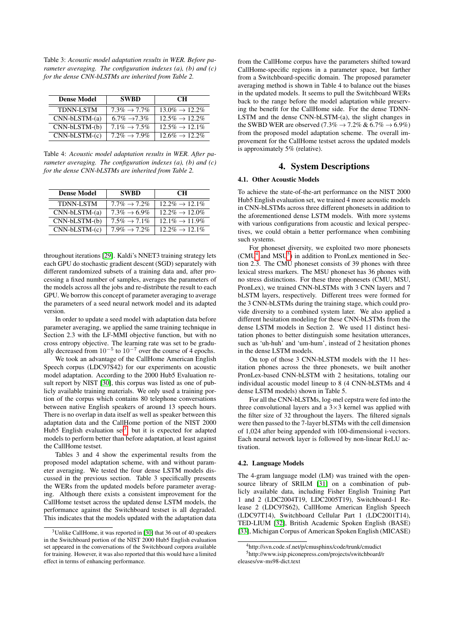Table 3: *Acoustic model adaptation results in WER. Before parameter averaging. The configuration indexes (a), (b) and (c) for the dense CNN-bLSTMs are inherited from Table 2.*

| <b>Dense Model</b> | <b>SWBD</b>               | <b>CH</b>                   |
|--------------------|---------------------------|-----------------------------|
| <b>TDNN-LSTM</b>   | $7.3\% \rightarrow 7.7\%$ | $13.0\% \rightarrow 12.2\%$ |
| $CNN-bLSTM-(a)$    | $6.7\% \rightarrow 7.3\%$ | $12.5\% \rightarrow 12.2\%$ |
| $CNN-bLSTM-(b)$    | $7.1\% \rightarrow 7.5\%$ | $12.5\% \rightarrow 12.1\%$ |
| $CNN-bLSTM-(c)$    | $7.2\% \rightarrow 7.9\%$ | $12.6\% \rightarrow 12.2\%$ |

Table 4: *Acoustic model adaptation results in WER. After parameter averaging. The configuration indexes (a), (b) and (c) for the dense CNN-bLSTMs are inherited from Table 2.*

| <b>Dense Model</b> | <b>SWBD</b>               | <b>CH</b>                   |
|--------------------|---------------------------|-----------------------------|
| <b>TDNN-LSTM</b>   | $7.7\% \rightarrow 7.2\%$ | $12.2\% \rightarrow 12.1\%$ |
| $CNN-bLSTM-(a)$    | $7.3\% \rightarrow 6.9\%$ | $12.2\% \rightarrow 12.0\%$ |
| $CNN-bLSTM-(b)$    | $7.5\% \rightarrow 7.1\%$ | $12.1\% \rightarrow 11.9\%$ |
| $CNN-bLSTM-(c)$    | $7.9\% \rightarrow 7.2\%$ | $12.2\% \rightarrow 12.1\%$ |

throughout iterations [\[29\]](#page-7-1). Kaldi's NNET3 training strategy lets each GPU do stochastic gradient descent (SGD) separately with different randomized subsets of a training data and, after processing a fixed number of samples, averages the parameters of the models across all the jobs and re-distribute the result to each GPU. We borrow this concept of parameter averaging to average the parameters of a seed neural network model and its adapted version.

In order to update a seed model with adaptation data before parameter averaging, we applied the same training technique in Section 2.3 with the LF-MMI objective function, but with no cross entropy objective. The learning rate was set to be gradually decreased from  $10^{-5}$  to  $10^{-7}$  over the course of 4 epochs.

We took an advantage of the CallHome American English Speech corpus (LDC97S42) for our experiments on acoustic model adaptation. According to the 2000 Hub5 Evaluation result report by NIST [\[30\]](#page-7-2), this corpus was listed as one of publicly available training materials. We only used a training portion of the corpus which contains 80 telephone conversations between native English speakers of around 13 speech hours. There is no overlap in data itself as well as speaker between this adaptation data and the CallHome portion of the NIST 2000 Hub5 English evaluation set<sup>[3](#page-3-0)</sup>, but it is expected for adapted models to perform better than before adaptation, at least against the CallHome testset.

Tables 3 and 4 show the experimental results from the proposed model adaptation scheme, with and without parameter averaging. We tested the four dense LSTM models discussed in the previous section. Table 3 specifically presents the WERs from the updated models before parameter averaging. Although there exists a consistent improvement for the CallHome testset across the updated dense LSTM models, the performance against the Switchboard testset is all degraded. This indicates that the models updated with the adaptation data

from the CallHome corpus have the parameters shifted toward CallHome-specific regions in a parameter space, but farther from a Switchboard-specific domain. The proposed parameter averaging method is shown in Table 4 to balance out the biases in the updated models. It seems to pull the Switchboard WERs back to the range before the model adaptation while preserving the benefit for the CallHome side. For the dense TDNN-LSTM and the dense CNN-bLSTM-(a), the slight changes in the SWBD WER are observed (7.3%  $\rightarrow$  7.2% & 6.7%  $\rightarrow$  6.9%) from the proposed model adaptation scheme. The overall improvement for the CallHome testset across the updated models is approximately 5% (relative).

### 4. System Descriptions

### 4.1. Other Acoustic Models

To achieve the state-of-the-art performance on the NIST 2000 Hub5 English evaluation set, we trained 4 more acoustic models in CNN-bLSTMs across three different phonesets in addition to the aforementioned dense LSTM models. With more systems with various configurations from acoustic and lexical perspectives, we could obtain a better performance when combining such systems.

For phoneset diversity, we exploited two more phonesets  $(CMU<sup>4</sup>$  $(CMU<sup>4</sup>$  $(CMU<sup>4</sup>$  and  $MSU<sup>5</sup>$  $MSU<sup>5</sup>$  $MSU<sup>5</sup>$ ) in addition to PronLex mentioned in Section 2.3. The CMU phoneset consists of 39 phones with three lexical stress markers. The MSU phoneset has 36 phones with no stress distinctions. For these three phonesets (CMU, MSU, PronLex), we trained CNN-bLSTMs with 3 CNN layers and 7 bLSTM layers, respectively. Different trees were formed for the 3 CNN-bLSTMs during the training stage, which could provide diversity to a combined system later. We also applied a different hesitation modeling for these CNN-bLSTMs from the dense LSTM models in Section 2. We used 11 distinct hesitation phones to better distinguish some hesitation utterances, such as 'uh-huh' and 'um-hum', instead of 2 hesitation phones in the dense LSTM models.

On top of those 3 CNN-bLSTM models with the 11 hesitation phones across the three phonesets, we built another PronLex-based CNN-bLSTM with 2 hesitations, totaling our individual acoustic model lineup to 8 (4 CNN-bLSTMs and 4 dense LSTM models) shown in Table 5.

For all the CNN-bLSTMs, log-mel cepstra were fed into the three convolutional layers and a  $3\times3$  kernel was applied with the filter size of 32 throughout the layers. The filtered signals were then passed to the 7-layer bLSTMs with the cell dimension of 1,024 after being appended with 100-dimensional i-vectors. Each neural network layer is followed by non-linear ReLU activation.

### 4.2. Language Models

The 4-gram language model (LM) was trained with the open-source library of SRILM [\[31\]](#page-7-3) on a combination of publicly available data, including Fisher English Training Part 1 and 2 (LDC2004T19, LDC2005T19), Switchboard-1 Release 2 (LDC97S62), CallHome American English Speech (LDC97T14), Switchboard Cellular Part 1 (LDC2001T14), TED-LIUM [\[32\]](#page-7-4), British Academic Spoken English (BASE) [\[33\]](#page-7-5), Michigan Corpus of American Spoken English (MICASE)

<span id="page-3-0"></span><sup>3</sup>Unlike CallHome, it was reported in [\[30\]](#page-7-2) that 36 out of 40 speakers in the Switchboard portion of the NIST 2000 Hub5 English evaluation set appeared in the conversations of the Switchboard corpora available for training. However, it was also reported that this would have a limited effect in terms of enhancing performance.

<span id="page-3-2"></span><span id="page-3-1"></span><sup>4</sup>http://svn.code.sf.net/p/cmusphinx/code/trunk/cmudict <sup>5</sup>http://www.isip.piconepress.com/projects/switchboard/r eleases/sw-ms98-dict.text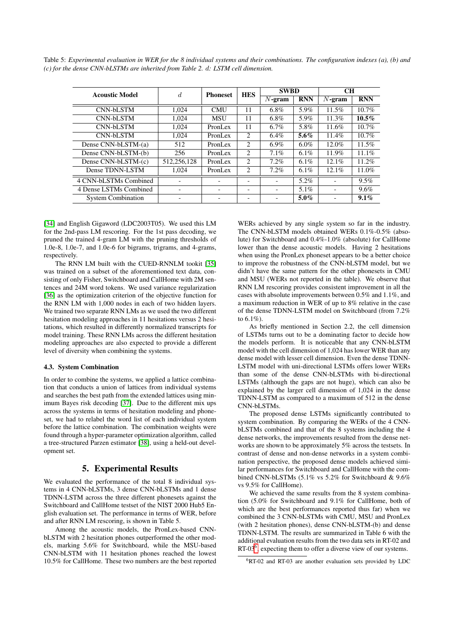Table 5: *Experimental evaluation in WER for the 8 individual systems and their combinations. The configuration indexes (a), (b) and (c) for the dense CNN-bLSTMs are inherited from Table 2.* d*: LSTM cell dimension.*

| <b>Acoustic Model</b>     | d.          | <b>Phoneset</b> | <b>HES</b> | <b>SWBD</b> |            | <b>CH</b> |            |
|---------------------------|-------------|-----------------|------------|-------------|------------|-----------|------------|
|                           |             |                 |            | $N$ -gram   | <b>RNN</b> | $N$ -gram | <b>RNN</b> |
| CNN-bLSTM                 | 1.024       | <b>CMU</b>      | 11         | 6.8%        | 5.9%       | 11.5%     | $10.7\%$   |
| CNN-bLSTM                 | 1.024       | <b>MSU</b>      | 11         | $6.8\%$     | 5.9%       | 11.3%     | $10.5\%$   |
| CNN-bLSTM                 | 1.024       | PronLex         | 11         | $6.7\%$     | 5.8%       | 11.6%     | $10.7\%$   |
| CNN-bLSTM                 | 1.024       | PronLex         | 2          | $6.4\%$     | $5.6\%$    | $11.4\%$  | $10.7\%$   |
| Dense CNN-bLSTM-(a)       | 512         | PronLex         | 2          | $6.9\%$     | $6.0\%$    | $12.0\%$  | $11.5\%$   |
| Dense CNN-bLSTM-(b)       | 256         | PronLex         | 2          | 7.1%        | $6.1\%$    | 11.9%     | 11.1%      |
| Dense CNN-bLSTM-(c)       | 512,256,128 | PronLex         | 2          | 7.2%        | $6.1\%$    | $12.1\%$  | 11.2%      |
| Dense TDNN-LSTM           | 1.024       | PronLex         | 2          | 7.2%        | $6.1\%$    | $12.1\%$  | 11.0%      |
| 4 CNN-bLSTMs Combined     |             |                 |            |             | $5.2\%$    |           | 9.5%       |
| 4 Dense LSTMs Combined    |             |                 |            |             | $5.1\%$    |           | 9.6%       |
| <b>System Combination</b> |             |                 |            |             | $5.0\%$    |           | $9.1\%$    |

[\[34\]](#page-7-6) and English Gigaword (LDC2003T05). We used this LM for the 2nd-pass LM rescoring. For the 1st pass decoding, we pruned the trained 4-gram LM with the pruning thresholds of 1.0e-8, 1.0e-7, and 1.0e-6 for bigrams, trigrams, and 4-grams, respectively.

The RNN LM built with the CUED-RNNLM tookit [\[35\]](#page-7-7) was trained on a subset of the aforementioned text data, consisting of only Fisher, Switchboard and CallHome with 2M sentences and 24M word tokens. We used variance regularization [\[36\]](#page-7-8) as the optimization criterion of the objective function for the RNN LM with 1,000 nodes in each of two hidden layers. We trained two separate RNN LMs as we used the two different hesitation modeling approaches in 11 hesitations versus 2 hesitations, which resulted in differently normalized transcripts for model training. These RNN LMs across the different hesitation modeling approaches are also expected to provide a different level of diversity when combining the systems.

### 4.3. System Combination

In order to combine the systems, we applied a lattice combination that conducts a union of lattices from individual systems and searches the best path from the extended lattices using minimum Bayes risk decoding [\[37\]](#page-7-9). Due to the different mix ups across the systems in terms of hesitation modeling and phoneset, we had to relabel the word list of each individual system before the lattice combination. The combination weights were found through a hyper-parameter optimization algorithm, called a tree-structured Parzen estimator [\[38\]](#page-7-10), using a held-out development set.

### 5. Experimental Results

We evaluated the performance of the total 8 individual systems in 4 CNN-bLSTMs, 3 dense CNN-bLSTMs and 1 dense TDNN-LSTM across the three different phonesets against the Switchboard and CallHome testset of the NIST 2000 Hub5 English evaluation set. The performance in terms of WER, before and after RNN LM rescoring, is shown in Table 5.

Among the acoustic models, the PronLex-based CNNbLSTM with 2 hesitation phones outperformed the other models, marking 5.6% for Switchboard, while the MSU-based CNN-bLSTM with 11 hesitation phones reached the lowest 10.5% for CallHome. These two numbers are the best reported

WERs achieved by any single system so far in the industry. The CNN-bLSTM models obtained WERs 0.1%-0.5% (absolute) for Switchboard and 0.4%-1.0% (absolute) for CallHome lower than the dense acoustic models. Having 2 hesitations when using the PronLex phoneset appears to be a better choice to improve the robustness of the CNN-bLSTM model, but we didn't have the same pattern for the other phonesets in CMU and MSU (WERs not reported in the table). We observe that RNN LM rescoring provides consistent improvement in all the cases with absolute improvements between 0.5% and 1.1%, and a maximum reduction in WER of up to 8% relative in the case of the dense TDNN-LSTM model on Switchboard (from 7.2% to  $6.1\%$ ).

As briefly mentioned in Section 2.2, the cell dimension of LSTMs turns out to be a dominating factor to decide how the models perform. It is noticeable that any CNN-bLSTM model with the cell dimension of 1,024 has lower WER than any dense model with lesser cell dimension. Even the dense TDNN-LSTM model with uni-directional LSTMs offers lower WERs than some of the dense CNN-bLSTMs with bi-directional LSTMs (although the gaps are not huge), which can also be explained by the larger cell dimension of 1,024 in the dense TDNN-LSTM as compared to a maximum of 512 in the dense CNN-bLSTMs.

The proposed dense LSTMs significantly contributed to system combination. By comparing the WERs of the 4 CNNbLSTMs combined and that of the 8 systems including the 4 dense networks, the improvements resulted from the dense networks are shown to be approximately 5% across the testsets. In contrast of dense and non-dense networks in a system combination perspective, the proposed dense models achieved similar performances for Switchboard and CallHome with the combined CNN-bLSTMs (5.1% vs 5.2% for Switchboard & 9.6% vs 9.5% for CallHome).

We achieved the same results from the 8 system combination (5.0% for Switchboard and 9.1% for CallHome, both of which are the best performances reported thus far) when we combined the 3 CNN-bLSTMs with CMU, MSU and PronLex (with 2 hesitation phones), dense CNN-bLSTM-(b) and dense TDNN-LSTM. The results are summarized in Table 6 with the additional evaluation results from the two data sets in RT-02 and RT-03 $<sup>6</sup>$  $<sup>6</sup>$  $<sup>6</sup>$ , expecting them to offer a diverse view of our systems.</sup>

<span id="page-4-0"></span><sup>6</sup>RT-02 and RT-03 are another evaluation sets provided by LDC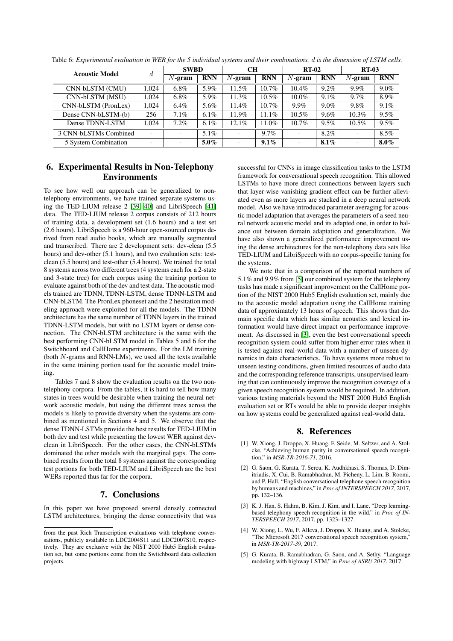| <b>Acoustic Model</b> |                          | <b>SWBD</b>              |            | <b>CH</b>                |            | <b>RT-02</b> |            | <b>RT-03</b>   |            |
|-----------------------|--------------------------|--------------------------|------------|--------------------------|------------|--------------|------------|----------------|------------|
|                       | d                        | $N$ -gram                | <b>RNN</b> | $N$ -gram                | <b>RNN</b> | $N$ -gram    | <b>RNN</b> | $N$ -gram      | <b>RNN</b> |
| CNN-bLSTM (CMU)       | 1.024                    | $6.8\%$                  | 5.9%       | 11.5%                    | $10.7\%$   | 10.4%        | $9.2\%$    | 9.9%           | $9.0\%$    |
| CNN-bLSTM (MSU)       | 1.024                    | $6.8\%$                  | 5.9%       | 11.3%                    | $10.5\%$   | $10.0\%$     | 9.1%       | $9.7\%$        | 8.9%       |
| CNN-bLSTM (PronLex)   | 1.024                    | $6.4\%$                  | 5.6%       | 11.4%                    | $10.7\%$   | $9.9\%$      | $9.0\%$    | 9.8%           | 9.1%       |
| Dense CNN-bLSTM-(b)   | 256                      | $7.1\%$                  | $6.1\%$    | 11.9%                    | 11.1%      | $10.5\%$     | $9.6\%$    | $10.3\%$       | $9.5\%$    |
| Dense TDNN-LSTM       | 1.024                    | $7.2\%$                  | $6.1\%$    | 12.1%                    | 11.0%      | $10.7\%$     | 9.5%       | $10.5\%$       | 9.5%       |
| 3 CNN-bLSTMs Combined | -                        |                          | $5.1\%$    |                          | $9.7\%$    |              | 8.2%       | $\overline{a}$ | 8.5%       |
| 5 System Combination  | $\overline{\phantom{0}}$ | $\overline{\phantom{0}}$ | $5.0\%$    | $\overline{\phantom{0}}$ | $9.1\%$    | -            | $8.1\%$    | -              | $8.0\%$    |

Table 6: *Experimental evaluation in WER for the 5 individual systems and their combinations.* d *is the dimension of LSTM cells.*

# 6. Experimental Results in Non-Telephony Environments

To see how well our approach can be generalized to nontelephony environments, we have trained separate systems using the TED-LIUM release 2 [\[39,](#page-7-11) [40\]](#page-7-12) and LibriSpeech [\[41\]](#page-7-13) data. The TED-LIUM release 2 corpus consists of 212 hours of training data, a development set (1.6 hours) and a test set (2.6 hours). LibriSpeech is a 960-hour open-sourced corpus derived from read audio books, which are manually segmented and transcribed. There are 2 development sets: dev-clean (5.5 hours) and dev-other (5.1 hours), and two evaluation sets: testclean (5.5 hours) and test-other (5.4 hours). We trained the total 8 systems across two different trees (4 systems each for a 2-state and 3-state tree) for each corpus using the training portion to evaluate against both of the dev and test data. The acoustic models trained are TDNN, TDNN-LSTM, dense TDNN-LSTM and CNN-bLSTM. The PronLex phoneset and the 2 hesitation modeling approach were exploited for all the models. The TDNN architecture has the same number of TDNN layers in the trained TDNN-LSTM models, but with no LSTM layers or dense connection. The CNN-bLSTM architecture is the same with the best performing CNN-bLSTM model in Tables 5 and 6 for the Switchboard and CallHome experiments. For the LM training (both N-grams and RNN-LMs), we used all the texts available in the same training portion used for the acoustic model training.

Tables 7 and 8 show the evaluation results on the two nontelephony corpora. From the tables, it is hard to tell how many states in trees would be desirable when training the neural network acoustic models, but using the different trees across the models is likely to provide diversity when the systems are combined as mentioned in Sections 4 and 5. We observe that the dense TDNN-LSTMs provide the best results for TED-LIUM in both dev and test while presenting the lowest WER against devclean in LibriSpeech. For the other cases, the CNN-bLSTMs dominated the other models with the marginal gaps. The combined results from the total 8 systems against the corresponding test portions for both TED-LIUM and LibriSpeech are the best WERs reported thus far for the corpora.

# 7. Conclusions

In this paper we have proposed several densely connected LSTM architectures, bringing the dense connectivity that was

successful for CNNs in image classification tasks to the LSTM framework for conversational speech recognition. This allowed LSTMs to have more direct connections between layers such that layer-wise vanishing gradient effect can be further alleviated even as more layers are stacked in a deep neural network model. Also we have introduced parameter averaging for acoustic model adaptation that averages the parameters of a seed neural network acoustic model and its adapted one, in order to balance out between domain adaptation and generalization. We have also shown a generalized performance improvement using the dense architectures for the non-telephony data sets like TED-LIUM and LibriSpeech with no corpus-specific tuning for the systems.

We note that in a comparison of the reported numbers of 5.1% and 9.9% from [\[5\]](#page-5-4) our combined system for the telephony tasks has made a significant improvement on the CallHome portion of the NIST 2000 Hub5 English evaluation set, mainly due to the acoustic model adaptation using the CallHome training data of approximately 13 hours of speech. This shows that domain specific data which has similar acoustics and lexical information would have direct impact on performance improvement. As discussed in [\[3\]](#page-5-2), even the best conversational speech recognition system could suffer from higher error rates when it is tested against real-world data with a number of unseen dynamics in data characteristics. To have systems more robust to unseen testing conditions, given limited resources of audio data and the corresponding reference transcripts, unsupervised learning that can continuously improve the recognition coverage of a given speech recognition system would be required. In addition, various testing materials beyond the NIST 2000 Hub5 English evaluation set or RTs would be able to provide deeper insights on how systems could be generalized against real-world data.

# 8. References

- <span id="page-5-0"></span>[1] W. Xiong, J. Droppo, X. Huang, F. Seide, M. Seltzer, and A. Stolcke, "Achieving human parity in conversational speech recognition," in *MSR-TR-2016-71*, 2016.
- <span id="page-5-1"></span>[2] G. Saon, G. Kurata, T. Sercu, K. Audhkhasi, S. Thomas, D. Dimitriadis, X. Cui, B. Ramabhadran, M. Picheny, L. Lim, B. Roomi, and P. Hall, "English conversational telephone speech recognition by humans and machines," in *Proc of INTERSPEECH 2017*, 2017, pp. 132–136.
- <span id="page-5-2"></span>[3] K. J. Han, S. Hahm, B. Kim, J. Kim, and I. Lane, "Deep learningbased telephony speech recognition in the wild," in *Proc of IN-TERSPEECH 2017*, 2017, pp. 1323–1327.
- <span id="page-5-3"></span>[4] W. Xiong, L. Wu, F. Alleva, J. Droppo, X. Huang, and A. Stolcke, "The Microsoft 2017 conversational speech recognition system," in *MSR-TR-2017-39*, 2017.
- <span id="page-5-4"></span>[5] G. Kurata, B. Ramabhadran, G. Saon, and A. Sethy, "Language modeling with highway LSTM," in *Proc of ASRU 2017*, 2017.

from the past Rich Transcription evaluations with telephone conversations, publicly available in LDC2004S11 and LDC2007S10, respectively. They are exclusive with the NIST 2000 Hub5 English evaluation set, but some portions come from the Switchboard data collection projects.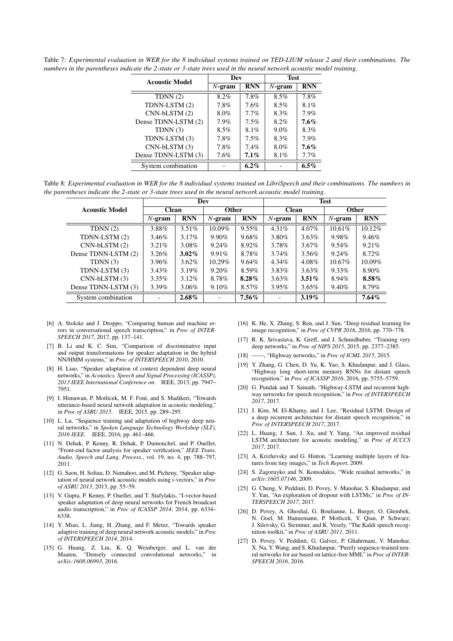| <b>Acoustic Model</b> | Dev       |            | <b>Test</b> |            |  |
|-----------------------|-----------|------------|-------------|------------|--|
|                       | $N$ -gram | <b>RNN</b> | $N$ -gram   | <b>RNN</b> |  |
| TDNN(2)               | 8.2%      | 7.8%       | $8.5\%$     | $7.8\%$    |  |
| TDNN-LSTM (2)         | 7.8%      | $7.6\%$    | $8.5\%$     | 8.1%       |  |
| $CNN-bLSTM(2)$        | $8.0\%$   | $7.7\%$    | 8.3%        | $7.9\%$    |  |
| Dense TDNN-LSTM (2)   | $7.9\%$   | $7.5\%$    | 8.2%        | $7.6\%$    |  |
| TDNN $(3)$            | $8.5\%$   | 8.1%       | $9.0\%$     | 8.3%       |  |
| TDNN-LSTM (3)         | 7.8%      | $7.5\%$    | 8.3%        | 7.9%       |  |
| $CNN-bLSTM(3)$        | $7.8\%$   | $7.4\%$    | 8.0%        | $7.6\%$    |  |
| Dense TDNN-LSTM (3)   | 7.6%      | $7.1\%$    | 8.1%        | 7.7%       |  |

Table 7: *Experimental evaluation in WER for the 8 individual systems trained on TED-LIUM release 2 and their combinations. The numbers in the parentheses indicate the 2-state or 3-state trees used in the neural network acoustic model training.*

Table 8: *Experimental evaluation in WER for the 8 individual systems trained on LibriSpeech and their combinations. The numbers in the parentheses indicate the 2-state or 3-state trees used in the neural network acoustic model training.*

System combination  $\overline{\hspace{1.5cm}6.2\%}$  -  $\overline{\hspace{1.5cm}6.5\%}$ 

|                       |              |            | Dev       |            | <b>Test</b>  |            |              |            |  |
|-----------------------|--------------|------------|-----------|------------|--------------|------------|--------------|------------|--|
| <b>Acoustic Model</b> | <b>Clean</b> |            | Other     |            | <b>Clean</b> |            | <b>Other</b> |            |  |
|                       | $N$ -gram    | <b>RNN</b> | $N$ -gram | <b>RNN</b> | $N$ -gram    | <b>RNN</b> | $N$ -gram    | <b>RNN</b> |  |
| TDNN(2)               | 3.88%        | $3.51\%$   | $10.09\%$ | $9.55\%$   | $4.31\%$     | $4.07\%$   | $10.61\%$    | 10.12%     |  |
| TDNN-LSTM (2)         | 3.46%        | 3.17%      | $9.90\%$  | $9.68\%$   | 3.80%        | $3.63\%$   | 9.98%        | 9.46%      |  |
| $CNN-bLSTM(2)$        | $3.21\%$     | 3.08%      | 9.24%     | 8.92%      | 3.78%        | $3.67\%$   | $9.54\%$     | 9.21%      |  |
| Dense TDNN-LSTM (2)   | $3.26\%$     | $3.02\%$   | 9.91%     | 8.78%      | $3.74\%$     | $3.56\%$   | 9.24%        | 8.72%      |  |
| TDNN(3)               | 3.96%        | $3.62\%$   | $10.29\%$ | 9.64%      | 4.34%        | 4.08%      | $10.67\%$    | $10.09\%$  |  |
| TDNN-LSTM (3)         | 3.43%        | 3.19%      | $9.20\%$  | 8.59%      | 3.83%        | $3.63\%$   | $9.33\%$     | 8.90%      |  |
| $CNN-bLSTM(3)$        | $3.35\%$     | 3.12%      | 8.78%     | $8.28\%$   | $3.63\%$     | $3.51\%$   | 8.94%        | 8.58%      |  |
| Dense TDNN-LSTM (3)   | $3.39\%$     | 3.06%      | 9.10%     | 8.57%      | $3.95\%$     | $3.65\%$   | 9.40%        | 8.79%      |  |
| System combination    |              | $2.68\%$   |           | $7.56\%$   |              | $3.19\%$   |              | $7.64\%$   |  |

- <span id="page-6-0"></span>[6] A. Stolcke and J. Droppo, "Comparing human and machine errors in conversational speech transcription," in *Proc of INTER-SPEECH 2017*, 2017, pp. 137–141.
- <span id="page-6-1"></span>[7] B. Li and K. C. Sim, "Comparison of discriminative input and output transformations for speaker adaptation in the hybrid NN/HMM systems," in *Proc of INTERSPEECH 2010*, 2010.
- <span id="page-6-2"></span>[8] H. Liao, "Speaker adaptation of context dependent deep neural networks," in *Acoustics, Speech and Signal Processing (ICASSP), 2013 IEEE International Conference on*. IEEE, 2013, pp. 7947– 7951.
- <span id="page-6-3"></span>[9] I. Himawan, P. Motlicek, M. F. Font, and S. Madikeri, "Towards utterance-based neural network adaptation in acoustic modeling," in *Proc of ASRU 2015*. IEEE, 2015, pp. 289–295.
- <span id="page-6-4"></span>[10] L. Lu, "Sequence training and adaptation of highway deep neural networks," in *Spoken Language Technology Workshop (SLT), 2016 IEEE*. IEEE, 2016, pp. 461–466.
- <span id="page-6-5"></span>[11] N. Dehak, P. Kenny, R. Dehak, P. Dumouchel, and P. Ouellet, "Front-end factor analysis for speaker verification," *IEEE Trans. Audio, Speech and Lang. Process.*, vol. 19, no. 4, pp. 788–797, 2011.
- <span id="page-6-6"></span>[12] G. Saon, H. Soltau, D. Namahoo, and M. Picheny, "Speaker adaptation of neural network acoustic models using i-vectors," in *Proc of ASRU 2013*, 2013, pp. 55–59.
- <span id="page-6-7"></span>[13] V. Gupta, P. Kenny, P. Ouellet, and T. Stafylakis, "I-vector-based speaker adaptation of deep neural networks for French broadcast audio transcription," in *Proc of ICASSP 2014*, 2014, pp. 6334– 6338.
- <span id="page-6-8"></span>[14] Y. Miao, L. Jiang, H. Zhang, and F. Metze, "Towards speaker adaptive training of deep neural network acoustic models," in *Proc of INTERSPEECH 2014*, 2014.
- <span id="page-6-9"></span>[15] G. Huang, Z. Liu, K. Q. Weinberger, and L. van der Maaten, "Densely connected convolutional networks," in *arXiv:1608.06993*, 2016.
- <span id="page-6-10"></span>[16] K. He, X. Zhang, S. Ren, and J. Sun, "Deep residual learning for image recognition," in *Proc of CVPR 2016*, 2016, pp. 770–778.
- <span id="page-6-11"></span>[17] R. K. Srivastava, K. Greff, and J. Schmidhuber, "Training very deep networks," in *Proc of NIPS 2015*, 2015, pp. 2377–2385.
- <span id="page-6-12"></span>[18] ——, "Highway networks," in *Proc of ICML 2015*, 2015.
- <span id="page-6-13"></span>[19] Y. Zhang, G. Chen, D. Yu, K. Yao, S. Khudanpur, and J. Glass, "Highway long short-term memory RNNs for distant speech recognition," in *Proc of ICASSP 2016*, 2016, pp. 5755–5759.
- <span id="page-6-14"></span>[20] G. Pundak and T. Sainath, "Highway-LSTM and recurrent highway networks for speech recognition," in *Proc of INTERSPEECH 2017*, 2017.
- <span id="page-6-15"></span>[21] J. Kim, M. El-Khamy, and J. Lee, "Residual LSTM: Design of a deep recurrent architecture for distant speech recognition," in *Proc of INTERSPEECH 2017*, 2017.
- <span id="page-6-16"></span>[22] L. Huang, J. Sun, J. Xu, and Y. Yang, "An improved residual LSTM architecture for acoustic modeling," in *Proc of ICCCS 2017*, 2017.
- <span id="page-6-17"></span>[23] A. Krizhevsky and G. Hinton, "Learning multiple layers of features from tiny images," in *Tech Report*, 2009.
- <span id="page-6-18"></span>[24] S. Zagoruyko and N. Komodakis, "Wide residual networks," in *arXiv:1605.07146*, 2009.
- <span id="page-6-19"></span>[25] G. Cheng, V. Peddinti, D. Povey, V. Manohar, S. Khudanpur, and Y. Yan, "An exploration of dropout with LSTMs," in *Proc of IN-TERSPEECH 2017*, 2017.
- <span id="page-6-20"></span>[26] D. Povey, A. Ghoshal, G. Boulianne, L. Burget, O. Glembek, N. Goel, M. Hannemann, P. Motlicek, Y. Qian, P. Schwarz, J. Silovsky, G. Stemmer, and K. Vesely, "The Kaldi speech recognition toolkit," in *Proc of ASRU 2011*, 2011.
- <span id="page-6-21"></span>[27] D. Povey, V. Peddinti, G. Galvez, P. Ghahrmani, V. Manohar, X. Na, Y. Wang, and S. Khudanpur, "Purely sequence-trained neural networks for asr based on lattice-free MMI," in *Proc of INTER-SPEECH 2016*, 2016.